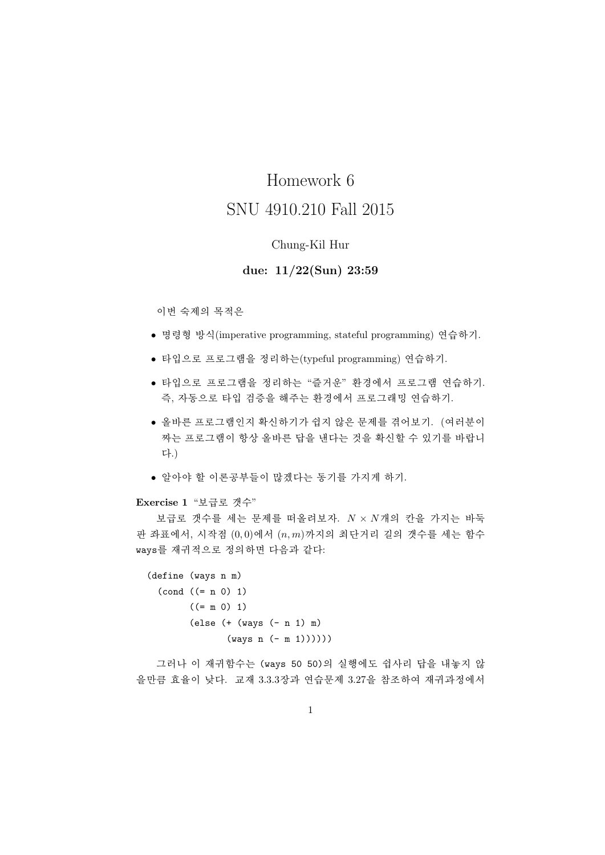# Homework 6 SNU 4910 210 Fall 2015

## Chung-Kil Hur

## due:  $11/22(Sun)$  23:59

이번 숙제의 목적은

- 명령형 방식(imperative programming, stateful programming) 연습하기.
- 타입으로 프로그램을 정리하는(typeful programming) 연습하기.
- 타입으로 프로그램을 정리하는 "즐거운" 환경에서 프로그램 연습하기. 즉, 자동으로 타입 검증을 해주는 환경에서 프로그래밍 연습하기.
- 올바른 프로그램인지 확신하기가 쉽지 않은 문제를 겪어보기. (여러분이 짜는 프로그램이 항상 올바른 답을 낸다는 것을 확신할 수 있기를 바랍니 다.)
- 알아야 할 이론공부들이 많겠다는 동기를 가지게 하기.

Exercise 1 "보급로 갯수"

보급로 갯수를 세는 문제를 떠올려보자.  $N \times N$ 개의 칸을 가지는 바둑 판 좌표에서, 시작점  $(0,0)$ 에서  $(n,m)$ 까지의 최단거리 길의 갯수를 세는 함수 ways를 재귀적으로 정의하면 다음과 같다:

```
(\text{define } (ways \ n \ m))(cond ((= n 0) 1)((= m 0) 1)\text{(else (+ (ways (- n 1) m))}(ways n (- m 1))))
```
그러나 이 재귀함수는 (ways 50 50)의 실행에도 쉽사리 답을 내놓지 않 을만큼 효율이 낮다. 교재 3.3.3장과 연습문제 3.27을 참조하여 재귀과정에서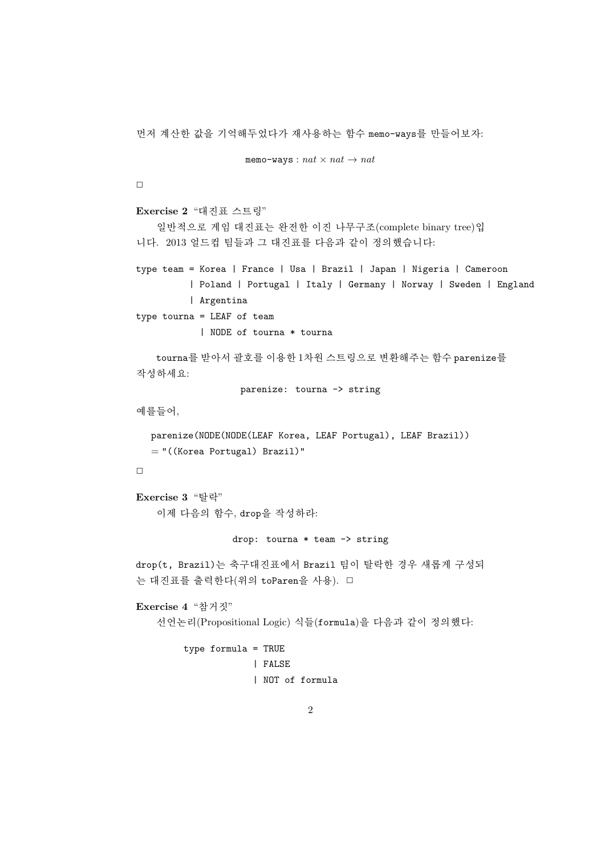먼저 계산한 값을 기억해두었다가 재사용하는 함수 memo-ways를 만들어보자:

```
memo-ways: nat \times nat \rightarrow nat
```
 $\Box$ 

```
Exercise 2 "대진표 스트링"
```
일반적으로 게임 대진표는 완전한 이진 나무구조(complete binary tree)입 니다. 2013 얼드컵 팀들과 그 대진표를 다음과 같이 정의했습니다:

```
type team = Korea | France | Usa | Brazil | Japan | Nigeria | Cameroon
          | Poland | Portugal | Italy | Germany | Norway | Sweden | England
          | Argentina
type tourna = LEAF of team
            | NODE of tourna * tourna
```

```
tourna를 받아서 괄호를 이용한 1차원 스트링으로 변환해주는 함수 parenize를
작성하세요:
```
parenize: tourna -> string

예를들어,

```
parenize(NODE(NODE(LEAF Korea, LEAF Portugal), LEAF Brazil))
= "((Korea Portugal) Brazil)"
```
 $\Box$ 

```
Exercise 3 "탈락"
   이제 다음의 함수, drop을 작성하라:
```
#### drop: tourna  $*$  team  $\rightarrow$  string

drop(t, Brazil)는 축구대진표에서 Brazil 팀이 탈락한 경우 새롭게 구성되 는 대진표를 출력한다(위의 toParen을 사용). □

Exercise 4 "참거짓"

선언논리(Propositional Logic) 식들(formula)을 다음과 같이 정의했다:

```
type formula = TRUE| FALSE
             | NOT of formula
```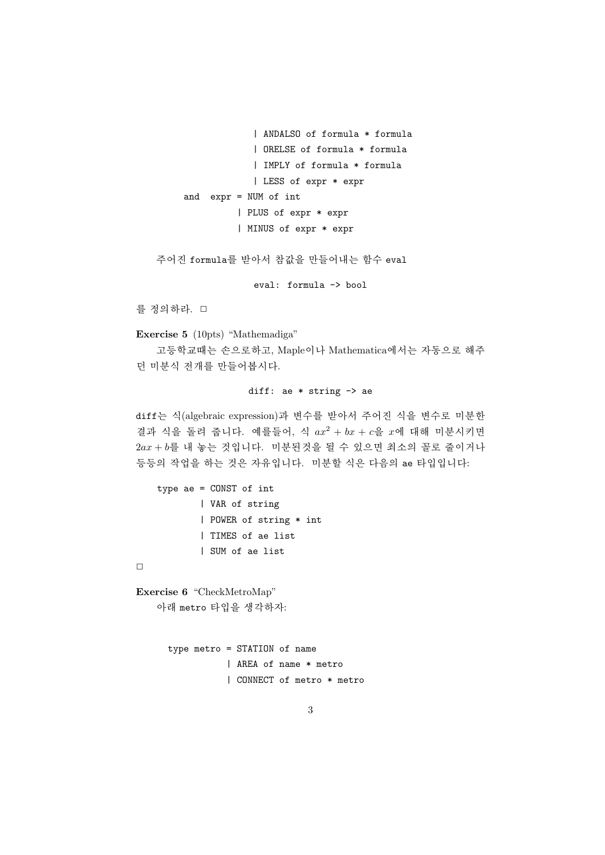```
| ANDALSO of formula * formula
             | ORELSE of formula * formula
             | IMPLY of formula * formula
             | LESS of expr * expr
and expr = NUM of int| PLUS of expr * expr
          | MINUS of expr * expr
```
주어진 formula를 받아서 참값을 만들어내는 함수 eval

eval: formula -> bool

를 정의하라. □

Exercise 5 (10pts) "Mathemadiga"

고등학교때는 손으로하고, Maple이나 Mathematica에서는 자동으로 해주 던 미분식 전개를 만들어봅시다.

#### diff: ae  $*$  string  $\rightarrow$  ae

diff는 식(algebraic expression)과 변수를 받아서 주어진 식을 변수로 미분한 결과 식을 돌려 줍니다. 예를들어, 식  $ax^2 + bx + c$ 을  $x$ 에 대해 미분시키면  $2ax + b$ 를 내 놓는 것입니다. 미분된것을 될 수 있으면 최소의 꼴로 줄이거나 등등의 작업을 하는 것은 자유입니다. 미분할 식은 다음의 ae 타입입니다:

```
type ae = CONST of int
        | VAR of string
        | POWER of string * int
        | TIMES of ae list
        | SUM of ae list
```
 $\Box$ 

Exercise 6 "CheckMetroMap" 아래 metro 타입을 생각하자:

```
type metro = STATION of name
           | AREA of name * metro
           | CONNECT of metro * metro
```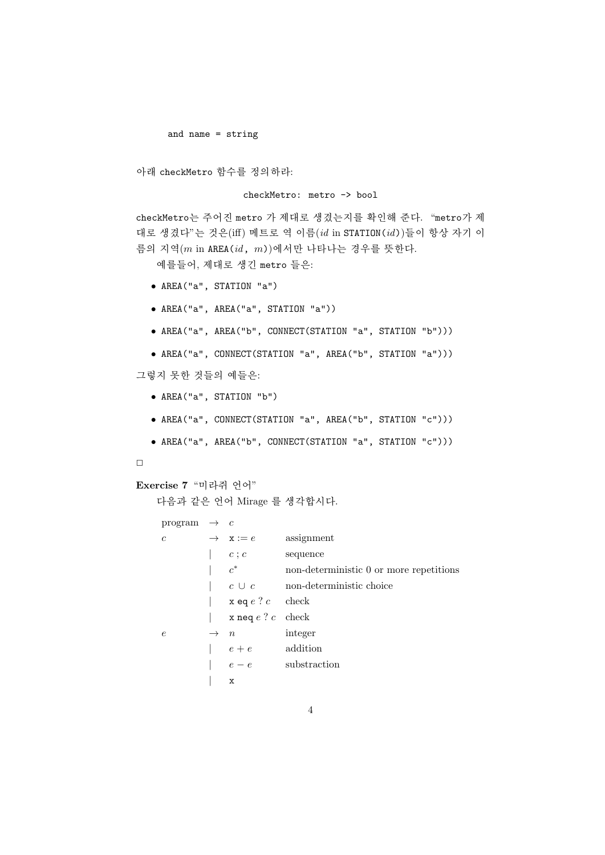and name =  $string$ 

아래 checkMetro 함수를 정의하라:

#### checkMetro: metro -> bool

checkMetro는 주어진 metro 가 제대로 생겼는지를 확인해 준다. "metro가 제 대로 생겼다"는 것은(iff) 메트로 역 이름(id in STATION(id))들이 항상 자기 이 름의 지역 $(m \text{ in } AREA(id, m))$ 에서만 나타나는 경우를 뜻한다.

예를들어, 제대로 생긴 metro 들은:

- AREA("a", STATION "a")
- AREA("a", AREA("a", STATION "a"))
- AREA("a", AREA("b", CONNECT(STATION "a", STATION "b")))
- AREA("a", CONNECT(STATION "a", AREA("b", STATION "a")))

그렇지 못한 것들의 예들은:

- AREA("a", STATION "b")
- AREA("a", CONNECT(STATION "a", AREA("b", STATION "c")))
- AREA("a", AREA("b", CONNECT(STATION "a", STATION "c")))

#### $\Box$

### Exercise 7 "미라쥐 언어"

다음과 같은 언어 Mirage 를 생각합시다.

```
program \rightarrow c
\overline{c}\rightarrow x := eassignment
             |c;c|sequence
               c^*\mathbf{L}non-deterministic 0 or more repetitions
                                non-deterministic choice
            |c \cup c\vert x eq e ? c check
                 x neq e ? c check
            \mathbf{L}\rightarrow n
                                 integer
\epsilone+eaddition
            \overline{\phantom{a}}e - esubstraction
                 \mathbf x
```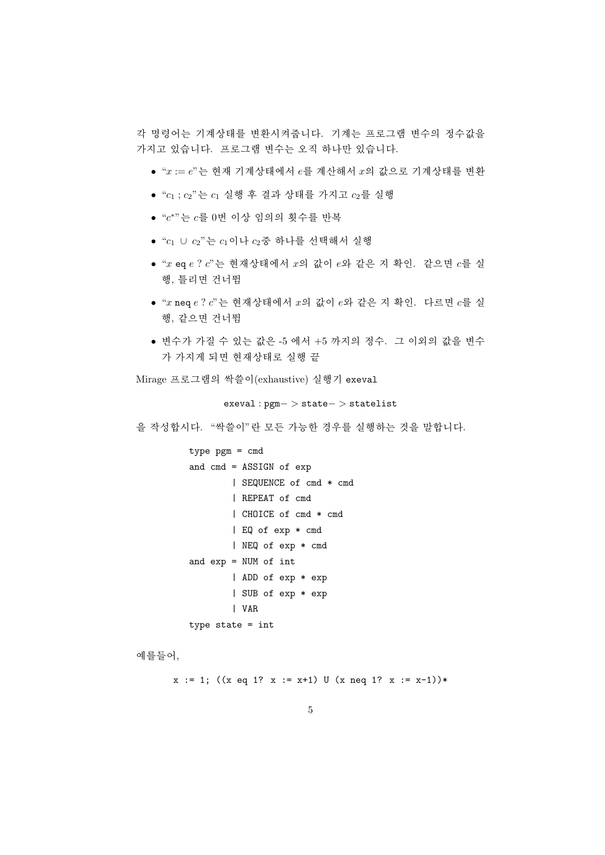각 명령어는 기계상태를 변화시켜줍니다. 기계는 프로그램 변수의 정수값을 가지고 있습니다. 프로그램 변수는 오직 하나만 있습니다.

- " $x := e$ "는 현재 기계상태에서  $e \equiv$  계산해서  $x$ 의 값으로 기계상태를 변환
- " $c_1$ ;  $c_2$ "는  $c_1$  실행 후 결과 상태를 가지고  $c_2$ 를 실행
- " $c^*$ " 는  $c \equiv 0$ 번 이상 임의의 횟수를 반복
- " $c_1 \cup c_2$ " 는  $c_1$ 이나  $c_2$  중 하나를 선택해서 실행
- " $x$  eq  $e$  ?  $c$ " 는 현재상태에서  $x$ 의 값이  $e$ 와 같은 지 확인. 같으면  $c \equiv \Delta$ 행, 틀리면 건너뜀
- " $x$  neq  $e$  ?  $c$ " 는 현재상태에서  $x$ 의 값이  $e$ 와 같은 지 확인. 다르면  $c \equiv 4$ 행, 같으면 건너뜀
- 변수가 가질 수 있는 값은 -5 에서 +5 까지의 정수. 그 이외의 값을 변수 가 가지게 되면 현재상태로 실행 끝

Mirage 프로그램의 싹쓸이(exhaustive) 실행기 exeval

 $exeval:pgm->state->statelist$ 

을 작성합시다. "싹쓸이"란 모든 가능한 경우를 실행하는 것을 말합니다.

```
type ppm = cmdand cmd = ASSIGN of exp| SEQUENCE of cmd * cmd
        | REPEAT of cmd
        | CHOICE of cmd * cmd
        | EQ of exp * cmd
        | NEQ of exp * cmd
and exp = NUM of int| ADD of exp * exp
        | SUB of exp * exp
        | VAR
type state = int
```
예를들어,

 $x := 1$ ; ((x eq 1? x := x+1) U (x neq 1? x := x-1))\*